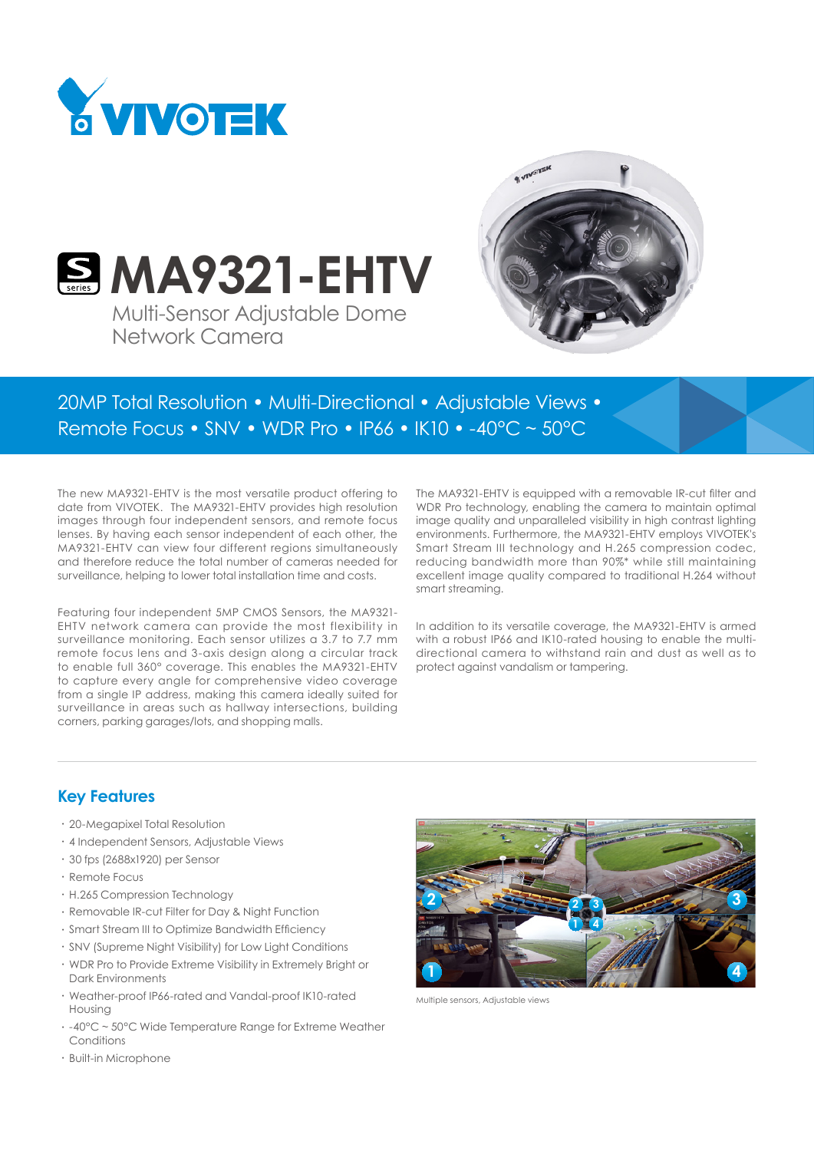



**S. MA9321-EHTV** Multi-Sensor Adjustable Dome Network Camera

20MP Total Resolution • Multi-Directional • Adjustable Views • Remote Focus • SNV • WDR Pro • IP66 • IK10 • -40°C ~ 50°C

The new MA9321-EHTV is the most versatile product offering to date from VIVOTEK. The MA9321-EHTV provides high resolution images through four independent sensors, and remote focus lenses. By having each sensor independent of each other, the MA9321-EHTV can view four different regions simultaneously and therefore reduce the total number of cameras needed for surveillance, helping to lower total installation time and costs.

Featuring four independent 5MP CMOS Sensors, the MA9321- EHTV network camera can provide the most flexibility in surveillance monitoring. Each sensor utilizes a 3.7 to 7.7 mm remote focus lens and 3-axis design along a circular track to enable full 360° coverage. This enables the MA9321-EHTV to capture every angle for comprehensive video coverage from a single IP address, making this camera ideally suited for surveillance in areas such as hallway intersections, building corners, parking garages/lots, and shopping malls.

The MA9321-EHTV is equipped with a removable IR-cut filter and WDR Pro technology, enabling the camera to maintain optimal image quality and unparalleled visibility in high contrast lighting environments. Furthermore, the MA9321-EHTV employs VIVOTEK's Smart Stream III technology and H.265 compression codec, reducing bandwidth more than 90%\* while still maintaining excellent image quality compared to traditional H.264 without smart streaming.

In addition to its versatile coverage, the MA9321-EHTV is armed with a robust IP66 and IK10-rated housing to enable the multidirectional camera to withstand rain and dust as well as to protect against vandalism or tampering.

### **Key Features**

- • 20-Megapixel Total Resolution
- • 4 Independent Sensors, Adjustable Views
- • 30 fps (2688x1920) per Sensor
- • Remote Focus
- • H.265 Compression Technology
- Removable IR-cut Filter for Day & Night Function
- • Smart Stream III to Optimize Bandwidth Efficiency
- • SNV (Supreme Night Visibility) for Low Light Conditions
- • WDR Pro to Provide Extreme Visibility in Extremely Bright or Dark Environments
- • Weather-proof IP66-rated and Vandal-proof IK10-rated Housing
- • -40°C ~ 50°C Wide Temperature Range for Extreme Weather **Conditions**



Multiple sensors, Adjustable views

• Built-in Microphone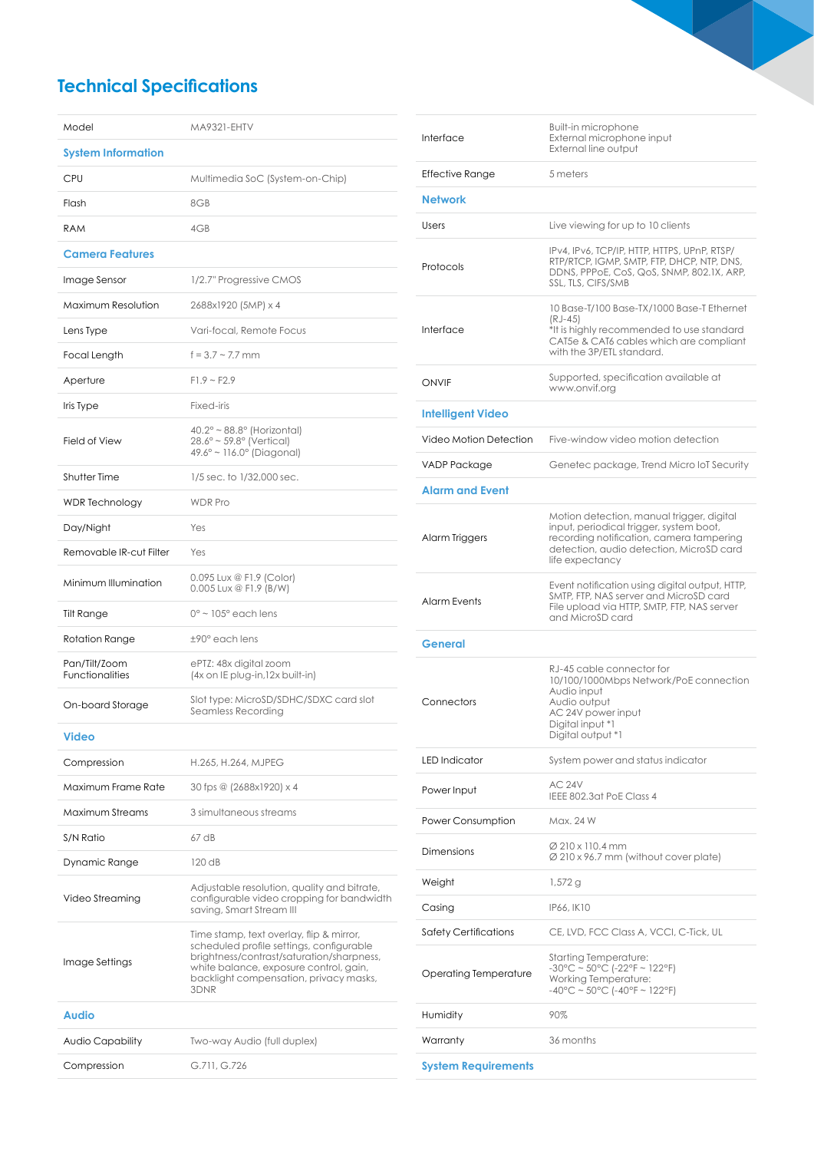# **Technical Specifications**

| Model                                   | <b>MA9321-EHTV</b>                                                                                                                                                                                                            |
|-----------------------------------------|-------------------------------------------------------------------------------------------------------------------------------------------------------------------------------------------------------------------------------|
| <b>System Information</b>               |                                                                                                                                                                                                                               |
| CPU                                     | Multimedia SoC (System-on-Chip)                                                                                                                                                                                               |
| Flash                                   | 8GB                                                                                                                                                                                                                           |
| <b>RAM</b>                              | 4GB                                                                                                                                                                                                                           |
| <b>Camera Features</b>                  |                                                                                                                                                                                                                               |
| Image Sensor                            | 1/2.7" Progressive CMOS                                                                                                                                                                                                       |
| Maximum Resolution                      | 2688x1920 (5MP) x 4                                                                                                                                                                                                           |
| Lens Type                               | Vari-focal, Remote Focus                                                                                                                                                                                                      |
| Focal Length                            | $f = 3.7 \sim 7.7$ mm                                                                                                                                                                                                         |
| Aperture                                | $F1.9 - F2.9$                                                                                                                                                                                                                 |
| Iris Type                               | Fixed-iris                                                                                                                                                                                                                    |
| Field of View                           | $40.2^\circ \sim 88.8^\circ$ (Horizontal)<br>28.6° ~ 59.8° (Vertical)<br>$49.6^{\circ} \sim 116.0^{\circ}$ (Diagonal)                                                                                                         |
| Shutter Time                            | 1/5 sec. to 1/32,000 sec.                                                                                                                                                                                                     |
| <b>WDR</b> Technology                   | <b>WDR Pro</b>                                                                                                                                                                                                                |
| Day/Night                               | Yes                                                                                                                                                                                                                           |
| Removable IR-cut Filter                 | Yes                                                                                                                                                                                                                           |
| Minimum Illumination                    | 0.095 Lux @ F1.9 (Color)<br>0.005 Lux @ F1.9 (B/W)                                                                                                                                                                            |
| Tilt Range                              | $0^{\circ}$ ~ 105° each lens                                                                                                                                                                                                  |
| Rotation Range                          | $±90^\circ$ each lens                                                                                                                                                                                                         |
| Pan/Tilt/Zoom<br><b>Functionalities</b> | ePTZ: 48x digital zoom<br>(4x on IE plug-in, 12x built-in)                                                                                                                                                                    |
| On-board Storage                        | Slot type: MicroSD/SDHC/SDXC card slot<br>Seamless Recording                                                                                                                                                                  |
| <b>Video</b>                            |                                                                                                                                                                                                                               |
| Compression                             | H.265, H.264, MJPEG                                                                                                                                                                                                           |
| Maximum Frame Rate                      | 30 fps @ (2688x1920) x 4                                                                                                                                                                                                      |
| Maximum Streams                         | 3 simultaneous streams                                                                                                                                                                                                        |
| S/N Ratio                               | 67 dB                                                                                                                                                                                                                         |
| Dynamic Range                           | $120$ dB                                                                                                                                                                                                                      |
| Video Streaming                         | Adjustable resolution, quality and bitrate,<br>configurable video cropping for bandwidth<br>saving, Smart Stream III                                                                                                          |
| Image Settings                          | Time stamp, text overlay, flip & mirror,<br>scheduled profile settings, configurable<br>brightness/contrast/saturation/sharpness,<br>white balance, exposure control, gain,<br>backlight compensation, privacy masks,<br>3DNR |
| <b>Audio</b>                            |                                                                                                                                                                                                                               |
| Audio Capability                        | Two-way Audio (full duplex)                                                                                                                                                                                                   |
| Compression                             | G.711, G.726                                                                                                                                                                                                                  |

| Interface                    | <b>Built-in microphone</b><br>External microphone input<br>External line output                                                                                                                 |
|------------------------------|-------------------------------------------------------------------------------------------------------------------------------------------------------------------------------------------------|
| Effective Range              | 5 meters                                                                                                                                                                                        |
| <b>Network</b>               |                                                                                                                                                                                                 |
| Users                        | Live viewing for up to 10 clients                                                                                                                                                               |
| Protocols                    | IPv4, IPv6, TCP/IP, HTTP, HTTPS, UPnP, RTSP/<br>RTP/RTCP, IGMP, SMTP, FTP, DHCP, NTP, DNS,<br>DDNS, PPPoE, CoS, QoS, SNMP, 802.1X, ARP,<br>SSL. TLS. CIFS/SMB                                   |
| Interface                    | 10 Base-T/100 Base-TX/1000 Base-T Ethernet<br>(RJ-45)<br>*It is highly recommended to use standard<br>CAT5e & CAT6 cables which are compliant<br>with the 3P/ETL standard.                      |
| <b>ONVIF</b>                 | Supported, specification available at<br>www.onvif.org                                                                                                                                          |
| <b>Intelligent Video</b>     |                                                                                                                                                                                                 |
| Video Motion Detection       | Five-window video motion detection                                                                                                                                                              |
| VADP Package                 | Genetec package, Trend Micro IoT Security                                                                                                                                                       |
| <b>Alarm and Event</b>       |                                                                                                                                                                                                 |
| Alarm Triggers               | Motion detection, manual trigger, digital<br>input, periodical trigger, system boot,<br>recording notification, camera tampering<br>detection, audio detection, MicroSD card<br>life expectancy |
| <b>Alarm Events</b>          | Event notification using digital output, HTTP,<br>SMTP, FTP, NAS server and MicroSD card<br>File upload via HTTP, SMTP, FTP, NAS server<br>and MicroSD card                                     |
| General                      |                                                                                                                                                                                                 |
| Connectors                   | RJ-45 cable connector for<br>10/100/1000Mbps Network/PoE connection<br>Audio input<br>Audio output<br>AC 24V power input<br>Digital input *1<br>Digital output *1                               |
| <b>LED</b> Indicator         | System power and status indicator                                                                                                                                                               |
| Power Input                  | <b>AC 24V</b><br>IEEE 802.3at PoE Class 4                                                                                                                                                       |
| Power Consumption            | Max. 24 W                                                                                                                                                                                       |
| Dimensions                   | Ø 210 x 110.4 mm<br>Ø 210 x 96.7 mm (without cover plate)                                                                                                                                       |
| Weight                       | 1,572 g                                                                                                                                                                                         |
| Casing                       | IP66, IK10                                                                                                                                                                                      |
| <b>Safety Certifications</b> | CE, LVD, FCC Class A, VCCI, C-Tick, UL                                                                                                                                                          |
| Operating Temperature        | Starting Temperature:<br>$-30^{\circ}$ C ~ 50°C (-22°F ~ 122°F)<br>Working Temperature:<br>$-40^{\circ}$ C ~ 50°C (-40°F ~ 122°F)                                                               |
| Humidity                     | 90%                                                                                                                                                                                             |
| Warranty                     | 36 months                                                                                                                                                                                       |
| <b>System Requirements</b>   |                                                                                                                                                                                                 |